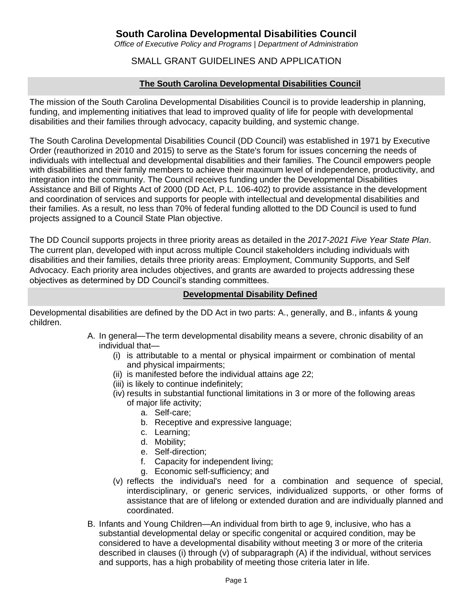# **South Carolina Developmental Disabilities Council**

*Office of Executive Policy and Programs | Department of Administration*

# SMALL GRANT GUIDELINES AND APPLICATION

# **The South Carolina Developmental Disabilities Council**

The mission of the South Carolina Developmental Disabilities Council is to provide leadership in planning, funding, and implementing initiatives that lead to improved quality of life for people with developmental disabilities and their families through advocacy, capacity building, and systemic change.

The South Carolina Developmental Disabilities Council (DD Council) was established in 1971 by Executive Order (reauthorized in 2010 and 2015) to serve as the State's forum for issues concerning the needs of individuals with intellectual and developmental disabilities and their families. The Council empowers people with disabilities and their family members to achieve their maximum level of independence, productivity, and integration into the community. The Council receives funding under the Developmental Disabilities Assistance and Bill of Rights Act of 2000 (DD Act, P.L. 106-402) to provide assistance in the development and coordination of services and supports for people with intellectual and developmental disabilities and their families. As a result, no less than 70% of federal funding allotted to the DD Council is used to fund projects assigned to a Council State Plan objective.

The DD Council supports projects in three priority areas as detailed in the *2017-2021 Five Year State Plan*. The current plan, developed with input across multiple Council stakeholders including individuals with disabilities and their families, details three priority areas: Employment, Community Supports, and Self Advocacy. Each priority area includes objectives, and grants are awarded to projects addressing these objectives as determined by DD Council's standing committees.

## **Developmental Disability Defined**

Developmental disabilities are defined by the DD Act in two parts: A., generally, and B., infants & young children.

- A. In general—The term developmental disability means a severe, chronic disability of an individual that—
	- (i) is attributable to a mental or physical impairment or combination of mental and physical impairments;
	- (ii) is manifested before the individual attains age 22;
	- (iii) is likely to continue indefinitely;
	- (iv) results in substantial functional limitations in 3 or more of the following areas of major life activity;
		- a. Self-care;
		- b. Receptive and expressive language;
		- c. Learning;
		- d. Mobility;
		- e. Self-direction;
		- f. Capacity for independent living;
		- g. Economic self-sufficiency; and
	- (v) reflects the individual's need for a combination and sequence of special, interdisciplinary, or generic services, individualized supports, or other forms of assistance that are of lifelong or extended duration and are individually planned and coordinated.
- B. Infants and Young Children—An individual from birth to age 9, inclusive, who has a substantial developmental delay or specific congenital or acquired condition, may be considered to have a developmental disability without meeting 3 or more of the criteria described in clauses (i) through (v) of subparagraph (A) if the individual, without services and supports, has a high probability of meeting those criteria later in life.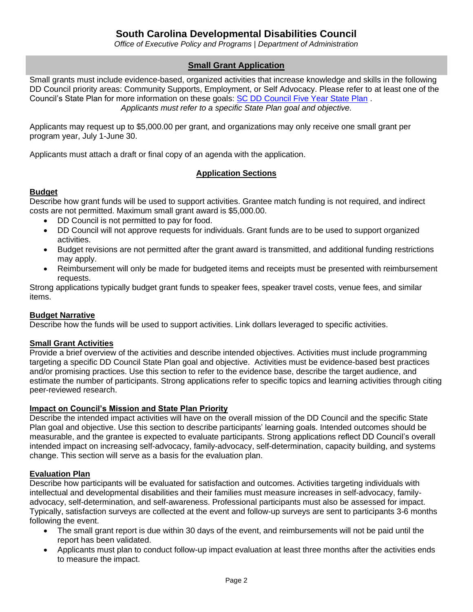*Office of Executive Policy and Programs | Department of Administration*

# **Small Grant Application**

Small grants must include evidence-based, organized activities that increase knowledge and skills in the following DD Council priority areas: Community Supports, Employment, or Self Advocacy. Please refer to at least one of the Council's State Plan for more information on these goals: [SC DD Council Five Year State Plan](https://www.scddc.state.sc.us/documents/2017-2021%20SP%20Activities%20and%20Strategies-PDF.pdf) . *Applicants must refer to a specific State Plan goal and objective.*

Applicants may request up to \$5,000.00 per grant, and organizations may only receive one small grant per program year, July 1-June 30.

Applicants must attach a draft or final copy of an agenda with the application.

## **Application Sections**

#### **Budget**

Describe how grant funds will be used to support activities. Grantee match funding is not required, and indirect costs are not permitted. Maximum small grant award is \$5,000.00.

- DD Council is not permitted to pay for food.
- DD Council will not approve requests for individuals. Grant funds are to be used to support organized activities.
- Budget revisions are not permitted after the grant award is transmitted, and additional funding restrictions may apply.
- Reimbursement will only be made for budgeted items and receipts must be presented with reimbursement requests.

Strong applications typically budget grant funds to speaker fees, speaker travel costs, venue fees, and similar items.

## **Budget Narrative**

Describe how the funds will be used to support activities. Link dollars leveraged to specific activities.

#### **Small Grant Activities**

Provide a brief overview of the activities and describe intended objectives. Activities must include programming targeting a specific DD Council State Plan goal and objective. Activities must be evidence-based best practices and/or promising practices. Use this section to refer to the evidence base, describe the target audience, and estimate the number of participants. Strong applications refer to specific topics and learning activities through citing peer-reviewed research.

#### **Impact on Council's Mission and State Plan Priority**

Describe the intended impact activities will have on the overall mission of the DD Council and the specific State Plan goal and objective. Use this section to describe participants' learning goals. Intended outcomes should be measurable, and the grantee is expected to evaluate participants. Strong applications reflect DD Council's overall intended impact on increasing self-advocacy, family-advocacy, self-determination, capacity building, and systems change. This section will serve as a basis for the evaluation plan.

## **Evaluation Plan**

Describe how participants will be evaluated for satisfaction and outcomes. Activities targeting individuals with intellectual and developmental disabilities and their families must measure increases in self-advocacy, familyadvocacy, self-determination, and self-awareness. Professional participants must also be assessed for impact. Typically, satisfaction surveys are collected at the event and follow-up surveys are sent to participants 3-6 months following the event.

- The small grant report is due within 30 days of the event, and reimbursements will not be paid until the report has been validated.
- Applicants must plan to conduct follow-up impact evaluation at least three months after the activities ends to measure the impact.